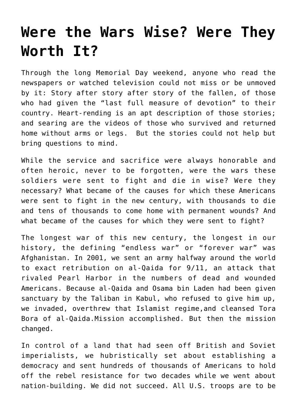## **[Were the Wars Wise? Were They](https://intellectualtakeout.org/2021/06/were-the-wars-wise-were-they-worth-it/) [Worth It?](https://intellectualtakeout.org/2021/06/were-the-wars-wise-were-they-worth-it/)**

Through the long Memorial Day weekend, anyone who read the newspapers or watched television could not miss or be unmoved by it: Story after story after story of the fallen, of those who had given the "last full measure of devotion" to their country. Heart-rending is an apt description of those stories; and searing are the videos of those who survived and returned home without arms or legs. But the stories could not help but bring questions to mind.

While the service and sacrifice were always honorable and often heroic, never to be forgotten, were the wars these soldiers were sent to fight and die in wise? Were they necessary? What became of the causes for which these Americans were sent to fight in the new century, with thousands to die and tens of thousands to come home with permanent wounds? And what became of the causes for which they were sent to fight?

The longest war of this new century, the longest in our history, the defining "endless war" or "forever war" was Afghanistan. In 2001, we sent an army halfway around the world to exact retribution on al-Qaida for 9/11, an attack that rivaled Pearl Harbor in the numbers of dead and wounded Americans. Because al-Qaida and Osama bin Laden had been given sanctuary by the Taliban in Kabul, who refused to give him up, we invaded, overthrew that Islamist regime,and cleansed Tora Bora of al-Qaida.Mission accomplished. But then the mission changed.

In control of a land that had seen off British and Soviet imperialists, we hubristically set about establishing a democracy and sent hundreds of thousands of Americans to hold off the rebel resistance for two decades while we went about nation-building. We did not succeed. All U.S. troops are to be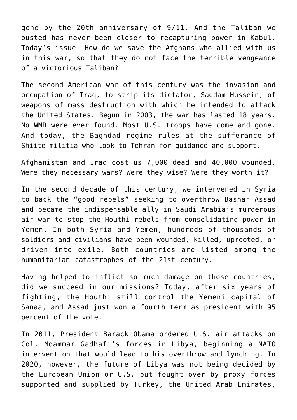gone by the 20th anniversary of 9/11. And the Taliban we ousted has never been closer to recapturing power in Kabul. Today's issue: How do we save the Afghans who allied with us in this war, so that they do not face the terrible vengeance of a victorious Taliban?

The second American war of this century was the invasion and occupation of Iraq, to strip its dictator, Saddam Hussein, of weapons of mass destruction with which he intended to attack the United States. Begun in 2003, the war has lasted 18 years. No WMD were ever found. Most U.S. troops have come and gone. And today, the Baghdad regime rules at the sufferance of Shiite militia who look to Tehran for guidance and support.

Afghanistan and Iraq cost us 7,000 dead and 40,000 wounded. Were they necessary wars? Were they wise? Were they worth it?

In the second decade of this century, we intervened in Syria to back the "good rebels" seeking to overthrow Bashar Assad and became the indispensable ally in Saudi Arabia's murderous air war to stop the Houthi rebels from consolidating power in Yemen. In both Syria and Yemen, hundreds of thousands of soldiers and civilians have been wounded, killed, uprooted, or driven into exile. Both countries are listed among the humanitarian catastrophes of the 21st century.

Having helped to inflict so much damage on those countries, did we succeed in our missions? Today, after six years of fighting, the Houthi still control the Yemeni capital of Sanaa, and Assad just won a fourth term as president with 95 percent of the vote.

In 2011, President Barack Obama ordered U.S. air attacks on Col. Moammar Gadhafi's forces in Libya, beginning a NATO intervention that would lead to his overthrow and lynching. In 2020, however, the future of Libya was not being decided by the European Union or U.S. but fought over by proxy forces supported and supplied by Turkey, the United Arab Emirates,